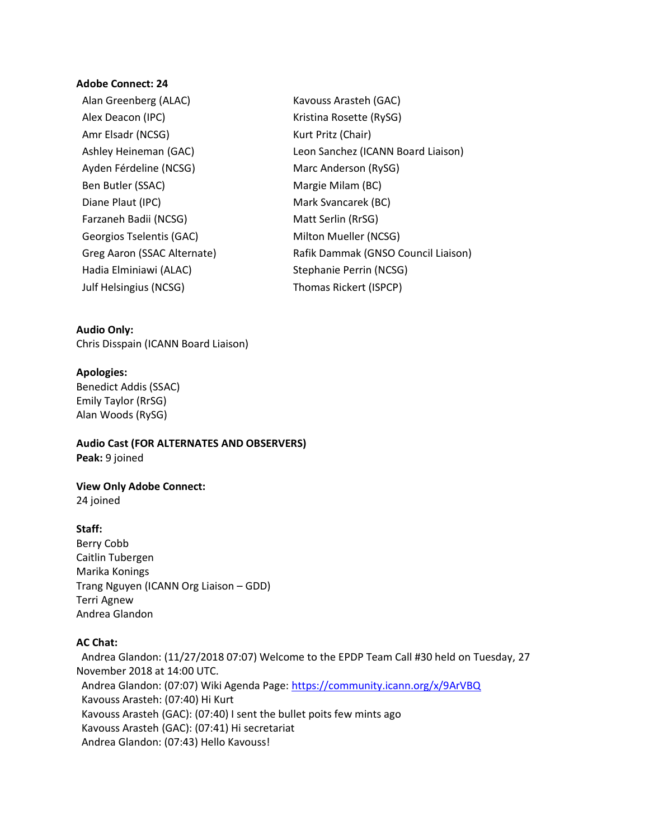#### **Adobe Connect: 24**

- Alan Greenberg (ALAC) Kavouss Arasteh (GAC) Alex Deacon (IPC) Manus (Research Muslim Rosette (RySG) Amr Elsadr (NCSG) Kurt Pritz (Chair) Ashley Heineman (GAC) Leon Sanchez (ICANN Board Liaison) Ayden Férdeline (NCSG) Marc Anderson (RySG) Ben Butler (SSAC) Margie Milam (BC) Diane Plaut (IPC) Mark Svancarek (BC) Farzaneh Badii (NCSG) Matt Serlin (RrSG) Georgios Tselentis (GAC) Milton Mueller (NCSG) Greg Aaron (SSAC Alternate) Rafik Dammak (GNSO Council Liaison) Hadia Elminiawi (ALAC) Stephanie Perrin (NCSG) Julf Helsingius (NCSG) Thomas Rickert (ISPCP)
	-

### **Audio Only:**

Chris Disspain (ICANN Board Liaison)

### **Apologies:**

Benedict Addis (SSAC) Emily Taylor (RrSG) Alan Woods (RySG)

**Audio Cast (FOR ALTERNATES AND OBSERVERS) Peak:** 9 joined

# **View Only Adobe Connect:**

24 joined

### **Staff:**

Berry Cobb Caitlin Tubergen Marika Konings Trang Nguyen (ICANN Org Liaison – GDD) Terri Agnew Andrea Glandon

## **AC Chat:**

 Andrea Glandon: (11/27/2018 07:07) Welcome to the EPDP Team Call #30 held on Tuesday, 27 November 2018 at 14:00 UTC. Andrea Glandon: (07:07) Wiki Agenda Page: <https://community.icann.org/x/9ArVBQ> Kavouss Arasteh: (07:40) Hi Kurt Kavouss Arasteh (GAC): (07:40) I sent the bullet poits few mints ago Kavouss Arasteh (GAC): (07:41) Hi secretariat Andrea Glandon: (07:43) Hello Kavouss!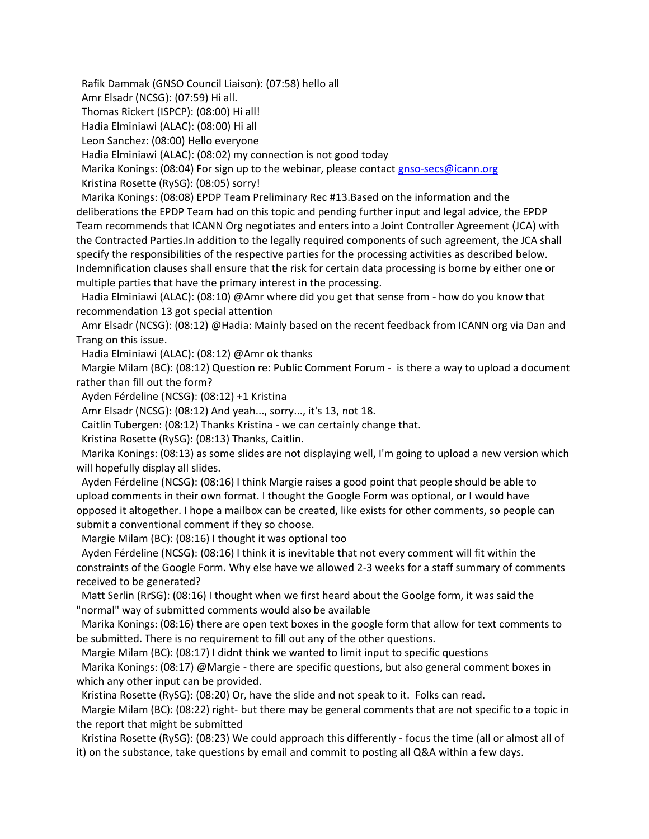Rafik Dammak (GNSO Council Liaison): (07:58) hello all

Amr Elsadr (NCSG): (07:59) Hi all.

Thomas Rickert (ISPCP): (08:00) Hi all!

Hadia Elminiawi (ALAC): (08:00) Hi all

Leon Sanchez: (08:00) Hello everyone

Hadia Elminiawi (ALAC): (08:02) my connection is not good today

Marika Konings: (08:04) For sign up to the webinar, please contact [gnso-secs@icann.org](mailto:gnso-secs@icann.org)

Kristina Rosette (RySG): (08:05) sorry!

 Marika Konings: (08:08) EPDP Team Preliminary Rec #13.Based on the information and the deliberations the EPDP Team had on this topic and pending further input and legal advice, the EPDP Team recommends that ICANN Org negotiates and enters into a Joint Controller Agreement (JCA) with the Contracted Parties.In addition to the legally required components of such agreement, the JCA shall specify the responsibilities of the respective parties for the processing activities as described below. Indemnification clauses shall ensure that the risk for certain data processing is borne by either one or multiple parties that have the primary interest in the processing.

 Hadia Elminiawi (ALAC): (08:10) @Amr where did you get that sense from - how do you know that recommendation 13 got special attention

 Amr Elsadr (NCSG): (08:12) @Hadia: Mainly based on the recent feedback from ICANN org via Dan and Trang on this issue.

Hadia Elminiawi (ALAC): (08:12) @Amr ok thanks

 Margie Milam (BC): (08:12) Question re: Public Comment Forum - is there a way to upload a document rather than fill out the form?

Ayden Férdeline (NCSG): (08:12) +1 Kristina

Amr Elsadr (NCSG): (08:12) And yeah..., sorry..., it's 13, not 18.

Caitlin Tubergen: (08:12) Thanks Kristina - we can certainly change that.

Kristina Rosette (RySG): (08:13) Thanks, Caitlin.

 Marika Konings: (08:13) as some slides are not displaying well, I'm going to upload a new version which will hopefully display all slides.

 Ayden Férdeline (NCSG): (08:16) I think Margie raises a good point that people should be able to upload comments in their own format. I thought the Google Form was optional, or I would have opposed it altogether. I hope a mailbox can be created, like exists for other comments, so people can submit a conventional comment if they so choose.

Margie Milam (BC): (08:16) I thought it was optional too

 Ayden Férdeline (NCSG): (08:16) I think it is inevitable that not every comment will fit within the constraints of the Google Form. Why else have we allowed 2-3 weeks for a staff summary of comments received to be generated?

 Matt Serlin (RrSG): (08:16) I thought when we first heard about the Goolge form, it was said the "normal" way of submitted comments would also be available

 Marika Konings: (08:16) there are open text boxes in the google form that allow for text comments to be submitted. There is no requirement to fill out any of the other questions.

Margie Milam (BC): (08:17) I didnt think we wanted to limit input to specific questions

 Marika Konings: (08:17) @Margie - there are specific questions, but also general comment boxes in which any other input can be provided.

Kristina Rosette (RySG): (08:20) Or, have the slide and not speak to it. Folks can read.

 Margie Milam (BC): (08:22) right- but there may be general comments that are not specific to a topic in the report that might be submitted

 Kristina Rosette (RySG): (08:23) We could approach this differently - focus the time (all or almost all of it) on the substance, take questions by email and commit to posting all Q&A within a few days.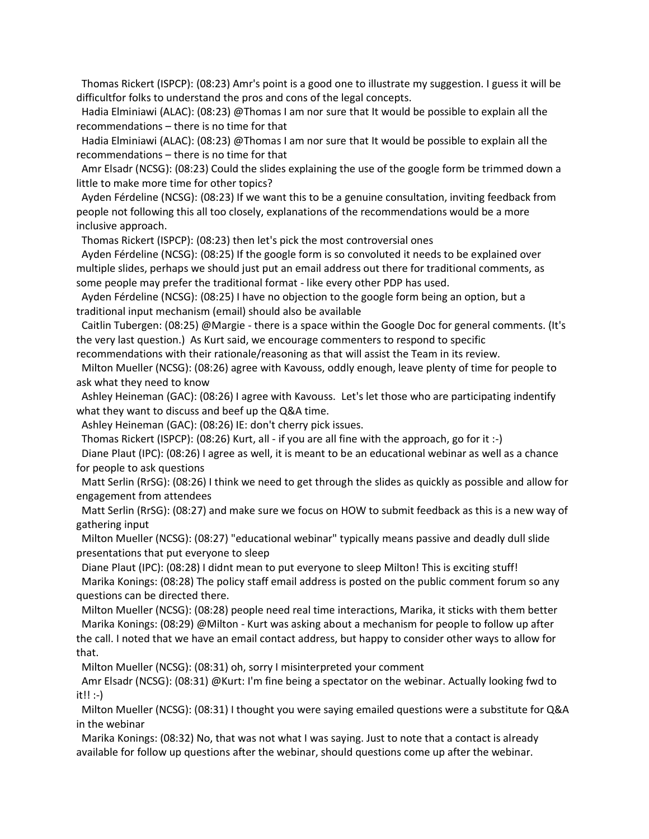Thomas Rickert (ISPCP): (08:23) Amr's point is a good one to illustrate my suggestion. I guess it will be difficultfor folks to understand the pros and cons of the legal concepts.

 Hadia Elminiawi (ALAC): (08:23) @Thomas I am nor sure that It would be possible to explain all the recommendations – there is no time for that

 Hadia Elminiawi (ALAC): (08:23) @Thomas I am nor sure that It would be possible to explain all the recommendations – there is no time for that

 Amr Elsadr (NCSG): (08:23) Could the slides explaining the use of the google form be trimmed down a little to make more time for other topics?

 Ayden Férdeline (NCSG): (08:23) If we want this to be a genuine consultation, inviting feedback from people not following this all too closely, explanations of the recommendations would be a more inclusive approach.

Thomas Rickert (ISPCP): (08:23) then let's pick the most controversial ones

 Ayden Férdeline (NCSG): (08:25) If the google form is so convoluted it needs to be explained over multiple slides, perhaps we should just put an email address out there for traditional comments, as some people may prefer the traditional format - like every other PDP has used.

 Ayden Férdeline (NCSG): (08:25) I have no objection to the google form being an option, but a traditional input mechanism (email) should also be available

 Caitlin Tubergen: (08:25) @Margie - there is a space within the Google Doc for general comments. (It's the very last question.) As Kurt said, we encourage commenters to respond to specific

recommendations with their rationale/reasoning as that will assist the Team in its review.

 Milton Mueller (NCSG): (08:26) agree with Kavouss, oddly enough, leave plenty of time for people to ask what they need to know

 Ashley Heineman (GAC): (08:26) I agree with Kavouss. Let's let those who are participating indentify what they want to discuss and beef up the Q&A time.

Ashley Heineman (GAC): (08:26) IE: don't cherry pick issues.

Thomas Rickert (ISPCP): (08:26) Kurt, all - if you are all fine with the approach, go for it :-)

 Diane Plaut (IPC): (08:26) I agree as well, it is meant to be an educational webinar as well as a chance for people to ask questions

 Matt Serlin (RrSG): (08:26) I think we need to get through the slides as quickly as possible and allow for engagement from attendees

 Matt Serlin (RrSG): (08:27) and make sure we focus on HOW to submit feedback as this is a new way of gathering input

 Milton Mueller (NCSG): (08:27) "educational webinar" typically means passive and deadly dull slide presentations that put everyone to sleep

 Diane Plaut (IPC): (08:28) I didnt mean to put everyone to sleep Milton! This is exciting stuff! Marika Konings: (08:28) The policy staff email address is posted on the public comment forum so any questions can be directed there.

 Milton Mueller (NCSG): (08:28) people need real time interactions, Marika, it sticks with them better Marika Konings: (08:29) @Milton - Kurt was asking about a mechanism for people to follow up after the call. I noted that we have an email contact address, but happy to consider other ways to allow for that.

Milton Mueller (NCSG): (08:31) oh, sorry I misinterpreted your comment

 Amr Elsadr (NCSG): (08:31) @Kurt: I'm fine being a spectator on the webinar. Actually looking fwd to it!! :-)

 Milton Mueller (NCSG): (08:31) I thought you were saying emailed questions were a substitute for Q&A in the webinar

 Marika Konings: (08:32) No, that was not what I was saying. Just to note that a contact is already available for follow up questions after the webinar, should questions come up after the webinar.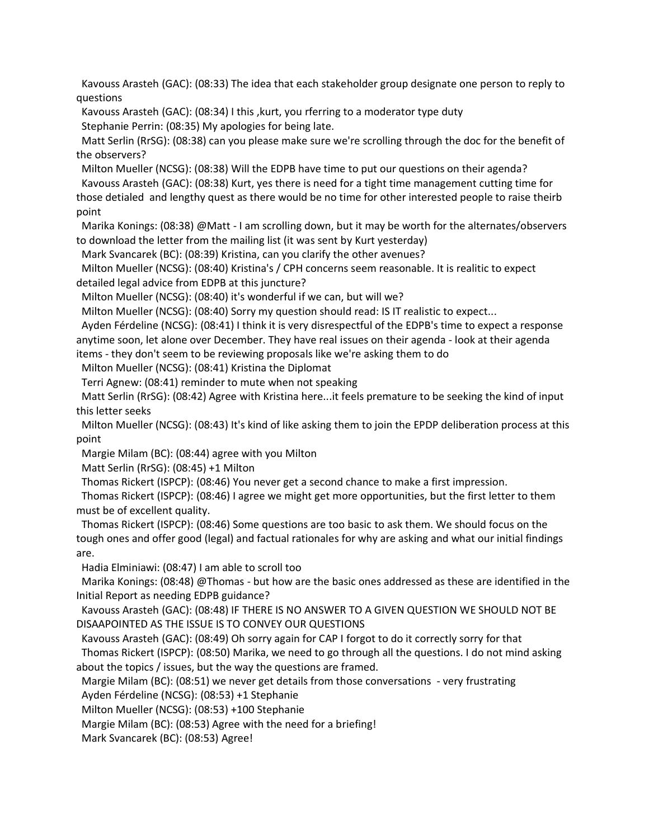Kavouss Arasteh (GAC): (08:33) The idea that each stakeholder group designate one person to reply to questions

 Kavouss Arasteh (GAC): (08:34) I this ,kurt, you rferring to a moderator type duty Stephanie Perrin: (08:35) My apologies for being late.

 Matt Serlin (RrSG): (08:38) can you please make sure we're scrolling through the doc for the benefit of the observers?

 Milton Mueller (NCSG): (08:38) Will the EDPB have time to put our questions on their agenda? Kavouss Arasteh (GAC): (08:38) Kurt, yes there is need for a tight time management cutting time for those detialed and lengthy quest as there would be no time for other interested people to raise theirb point

 Marika Konings: (08:38) @Matt - I am scrolling down, but it may be worth for the alternates/observers to download the letter from the mailing list (it was sent by Kurt yesterday)

Mark Svancarek (BC): (08:39) Kristina, can you clarify the other avenues?

 Milton Mueller (NCSG): (08:40) Kristina's / CPH concerns seem reasonable. It is realitic to expect detailed legal advice from EDPB at this juncture?

Milton Mueller (NCSG): (08:40) it's wonderful if we can, but will we?

Milton Mueller (NCSG): (08:40) Sorry my question should read: IS IT realistic to expect...

 Ayden Férdeline (NCSG): (08:41) I think it is very disrespectful of the EDPB's time to expect a response anytime soon, let alone over December. They have real issues on their agenda - look at their agenda

items - they don't seem to be reviewing proposals like we're asking them to do

Milton Mueller (NCSG): (08:41) Kristina the Diplomat

Terri Agnew: (08:41) reminder to mute when not speaking

 Matt Serlin (RrSG): (08:42) Agree with Kristina here...it feels premature to be seeking the kind of input this letter seeks

 Milton Mueller (NCSG): (08:43) It's kind of like asking them to join the EPDP deliberation process at this point

Margie Milam (BC): (08:44) agree with you Milton

Matt Serlin (RrSG): (08:45) +1 Milton

Thomas Rickert (ISPCP): (08:46) You never get a second chance to make a first impression.

 Thomas Rickert (ISPCP): (08:46) I agree we might get more opportunities, but the first letter to them must be of excellent quality.

 Thomas Rickert (ISPCP): (08:46) Some questions are too basic to ask them. We should focus on the tough ones and offer good (legal) and factual rationales for why are asking and what our initial findings are.

Hadia Elminiawi: (08:47) I am able to scroll too

 Marika Konings: (08:48) @Thomas - but how are the basic ones addressed as these are identified in the Initial Report as needing EDPB guidance?

 Kavouss Arasteh (GAC): (08:48) IF THERE IS NO ANSWER TO A GIVEN QUESTION WE SHOULD NOT BE DISAAPOINTED AS THE ISSUE IS TO CONVEY OUR QUESTIONS

 Kavouss Arasteh (GAC): (08:49) Oh sorry again for CAP I forgot to do it correctly sorry for that Thomas Rickert (ISPCP): (08:50) Marika, we need to go through all the questions. I do not mind asking about the topics / issues, but the way the questions are framed.

Margie Milam (BC): (08:51) we never get details from those conversations - very frustrating

Ayden Férdeline (NCSG): (08:53) +1 Stephanie

Milton Mueller (NCSG): (08:53) +100 Stephanie

Margie Milam (BC): (08:53) Agree with the need for a briefing!

Mark Svancarek (BC): (08:53) Agree!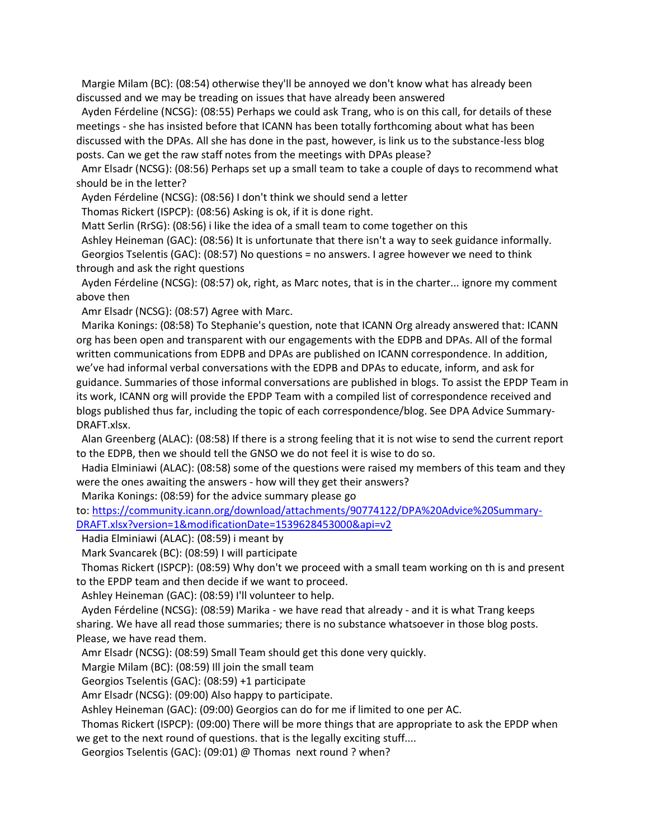Margie Milam (BC): (08:54) otherwise they'll be annoyed we don't know what has already been discussed and we may be treading on issues that have already been answered

 Ayden Férdeline (NCSG): (08:55) Perhaps we could ask Trang, who is on this call, for details of these meetings - she has insisted before that ICANN has been totally forthcoming about what has been discussed with the DPAs. All she has done in the past, however, is link us to the substance-less blog posts. Can we get the raw staff notes from the meetings with DPAs please?

 Amr Elsadr (NCSG): (08:56) Perhaps set up a small team to take a couple of days to recommend what should be in the letter?

Ayden Férdeline (NCSG): (08:56) I don't think we should send a letter

Thomas Rickert (ISPCP): (08:56) Asking is ok, if it is done right.

Matt Serlin (RrSG): (08:56) i like the idea of a small team to come together on this

 Ashley Heineman (GAC): (08:56) It is unfortunate that there isn't a way to seek guidance informally. Georgios Tselentis (GAC): (08:57) No questions = no answers. I agree however we need to think through and ask the right questions

 Ayden Férdeline (NCSG): (08:57) ok, right, as Marc notes, that is in the charter... ignore my comment above then

Amr Elsadr (NCSG): (08:57) Agree with Marc.

 Marika Konings: (08:58) To Stephanie's question, note that ICANN Org already answered that: ICANN org has been open and transparent with our engagements with the EDPB and DPAs. All of the formal written communications from EDPB and DPAs are published on ICANN correspondence. In addition, we've had informal verbal conversations with the EDPB and DPAs to educate, inform, and ask for guidance. Summaries of those informal conversations are published in blogs. To assist the EPDP Team in its work, ICANN org will provide the EPDP Team with a compiled list of correspondence received and blogs published thus far, including the topic of each correspondence/blog. See DPA Advice Summary-DRAFT.xlsx.

 Alan Greenberg (ALAC): (08:58) If there is a strong feeling that it is not wise to send the current report to the EDPB, then we should tell the GNSO we do not feel it is wise to do so.

 Hadia Elminiawi (ALAC): (08:58) some of the questions were raised my members of this team and they were the ones awaiting the answers - how will they get their answers?

Marika Konings: (08:59) for the advice summary please go

to: [https://community.icann.org/download/attachments/90774122/DPA%20Advice%20Summary-](https://community.icann.org/download/attachments/90774122/DPA%20Advice%20Summary-DRAFT.xlsx?version=1&modificationDate=1539628453000&api=v2)[DRAFT.xlsx?version=1&modificationDate=1539628453000&api=v2](https://community.icann.org/download/attachments/90774122/DPA%20Advice%20Summary-DRAFT.xlsx?version=1&modificationDate=1539628453000&api=v2)

Hadia Elminiawi (ALAC): (08:59) i meant by

Mark Svancarek (BC): (08:59) I will participate

 Thomas Rickert (ISPCP): (08:59) Why don't we proceed with a small team working on th is and present to the EPDP team and then decide if we want to proceed.

Ashley Heineman (GAC): (08:59) I'll volunteer to help.

Ayden Férdeline (NCSG): (08:59) Marika - we have read that already - and it is what Trang keeps

sharing. We have all read those summaries; there is no substance whatsoever in those blog posts. Please, we have read them.

Amr Elsadr (NCSG): (08:59) Small Team should get this done very quickly.

Margie Milam (BC): (08:59) Ill join the small team

Georgios Tselentis (GAC): (08:59) +1 participate

Amr Elsadr (NCSG): (09:00) Also happy to participate.

Ashley Heineman (GAC): (09:00) Georgios can do for me if limited to one per AC.

 Thomas Rickert (ISPCP): (09:00) There will be more things that are appropriate to ask the EPDP when we get to the next round of questions. that is the legally exciting stuff....

Georgios Tselentis (GAC): (09:01) @ Thomas next round ? when?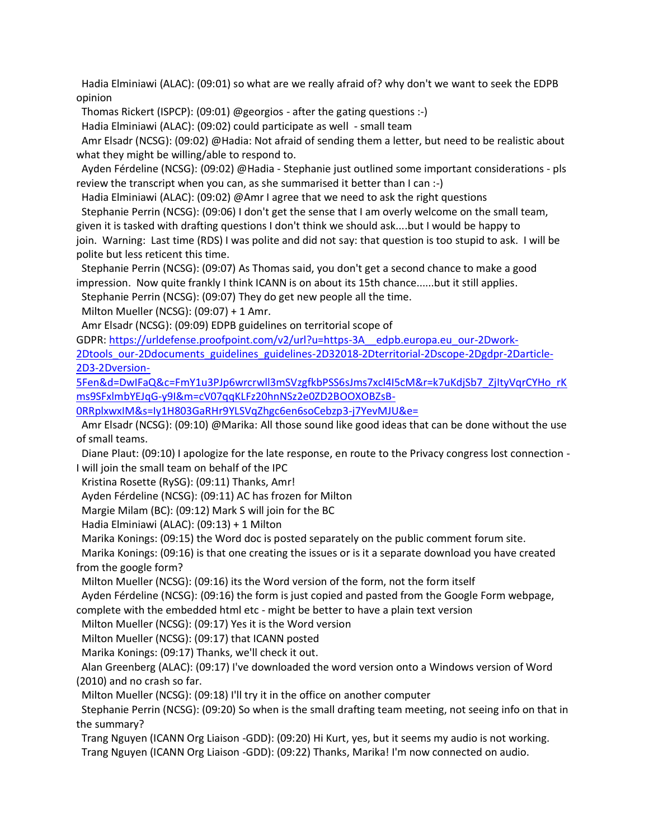Hadia Elminiawi (ALAC): (09:01) so what are we really afraid of? why don't we want to seek the EDPB opinion

Thomas Rickert (ISPCP): (09:01) @georgios - after the gating questions :-)

Hadia Elminiawi (ALAC): (09:02) could participate as well - small team

 Amr Elsadr (NCSG): (09:02) @Hadia: Not afraid of sending them a letter, but need to be realistic about what they might be willing/able to respond to.

 Ayden Férdeline (NCSG): (09:02) @Hadia - Stephanie just outlined some important considerations - pls review the transcript when you can, as she summarised it better than I can :-)

Hadia Elminiawi (ALAC): (09:02) @Amr I agree that we need to ask the right questions

Stephanie Perrin (NCSG): (09:06) I don't get the sense that I am overly welcome on the small team,

given it is tasked with drafting questions I don't think we should ask....but I would be happy to

join. Warning: Last time (RDS) I was polite and did not say: that question is too stupid to ask. I will be polite but less reticent this time.

 Stephanie Perrin (NCSG): (09:07) As Thomas said, you don't get a second chance to make a good impression. Now quite frankly I think ICANN is on about its 15th chance......but it still applies.

Stephanie Perrin (NCSG): (09:07) They do get new people all the time.

Milton Mueller (NCSG): (09:07) + 1 Amr.

Amr Elsadr (NCSG): (09:09) EDPB guidelines on territorial scope of

GDPR: [https://urldefense.proofpoint.com/v2/url?u=https-3A\\_\\_edpb.europa.eu\\_our-2Dwork-](https://urldefense.proofpoint.com/v2/url?u=https-3A__edpb.europa.eu_our-2Dwork-2Dtools_our-2Ddocuments_guidelines_guidelines-2D32018-2Dterritorial-2Dscope-2Dgdpr-2Darticle-2D3-2Dversion-5Fen&d=DwIFaQ&c=FmY1u3PJp6wrcrwll3mSVzgfkbPSS6sJms7xcl4I5cM&r=k7uKdjSb7_ZjItyVqrCYHo_rKms9SFxlmbYEJqG-y9I&m=cV07qqKLFz20hnNSz2e0ZD2BOOXOBZsB-0RRplxwxIM&s=Iy1H803GaRHr9YLSVqZhgc6en6soCebzp3-j7YevMJU&e=)[2Dtools\\_our-2Ddocuments\\_guidelines\\_guidelines-2D32018-2Dterritorial-2Dscope-2Dgdpr-2Darticle-](https://urldefense.proofpoint.com/v2/url?u=https-3A__edpb.europa.eu_our-2Dwork-2Dtools_our-2Ddocuments_guidelines_guidelines-2D32018-2Dterritorial-2Dscope-2Dgdpr-2Darticle-2D3-2Dversion-5Fen&d=DwIFaQ&c=FmY1u3PJp6wrcrwll3mSVzgfkbPSS6sJms7xcl4I5cM&r=k7uKdjSb7_ZjItyVqrCYHo_rKms9SFxlmbYEJqG-y9I&m=cV07qqKLFz20hnNSz2e0ZD2BOOXOBZsB-0RRplxwxIM&s=Iy1H803GaRHr9YLSVqZhgc6en6soCebzp3-j7YevMJU&e=)[2D3-2Dversion-](https://urldefense.proofpoint.com/v2/url?u=https-3A__edpb.europa.eu_our-2Dwork-2Dtools_our-2Ddocuments_guidelines_guidelines-2D32018-2Dterritorial-2Dscope-2Dgdpr-2Darticle-2D3-2Dversion-5Fen&d=DwIFaQ&c=FmY1u3PJp6wrcrwll3mSVzgfkbPSS6sJms7xcl4I5cM&r=k7uKdjSb7_ZjItyVqrCYHo_rKms9SFxlmbYEJqG-y9I&m=cV07qqKLFz20hnNSz2e0ZD2BOOXOBZsB-0RRplxwxIM&s=Iy1H803GaRHr9YLSVqZhgc6en6soCebzp3-j7YevMJU&e=)

[5Fen&d=DwIFaQ&c=FmY1u3PJp6wrcrwll3mSVzgfkbPSS6sJms7xcl4I5cM&r=k7uKdjSb7\\_ZjItyVqrCYHo\\_rK](https://urldefense.proofpoint.com/v2/url?u=https-3A__edpb.europa.eu_our-2Dwork-2Dtools_our-2Ddocuments_guidelines_guidelines-2D32018-2Dterritorial-2Dscope-2Dgdpr-2Darticle-2D3-2Dversion-5Fen&d=DwIFaQ&c=FmY1u3PJp6wrcrwll3mSVzgfkbPSS6sJms7xcl4I5cM&r=k7uKdjSb7_ZjItyVqrCYHo_rKms9SFxlmbYEJqG-y9I&m=cV07qqKLFz20hnNSz2e0ZD2BOOXOBZsB-0RRplxwxIM&s=Iy1H803GaRHr9YLSVqZhgc6en6soCebzp3-j7YevMJU&e=) [ms9SFxlmbYEJqG-y9I&m=cV07qqKLFz20hnNSz2e0ZD2BOOXOBZsB-](https://urldefense.proofpoint.com/v2/url?u=https-3A__edpb.europa.eu_our-2Dwork-2Dtools_our-2Ddocuments_guidelines_guidelines-2D32018-2Dterritorial-2Dscope-2Dgdpr-2Darticle-2D3-2Dversion-5Fen&d=DwIFaQ&c=FmY1u3PJp6wrcrwll3mSVzgfkbPSS6sJms7xcl4I5cM&r=k7uKdjSb7_ZjItyVqrCYHo_rKms9SFxlmbYEJqG-y9I&m=cV07qqKLFz20hnNSz2e0ZD2BOOXOBZsB-0RRplxwxIM&s=Iy1H803GaRHr9YLSVqZhgc6en6soCebzp3-j7YevMJU&e=)

[0RRplxwxIM&s=Iy1H803GaRHr9YLSVqZhgc6en6soCebzp3-j7YevMJU&e=](https://urldefense.proofpoint.com/v2/url?u=https-3A__edpb.europa.eu_our-2Dwork-2Dtools_our-2Ddocuments_guidelines_guidelines-2D32018-2Dterritorial-2Dscope-2Dgdpr-2Darticle-2D3-2Dversion-5Fen&d=DwIFaQ&c=FmY1u3PJp6wrcrwll3mSVzgfkbPSS6sJms7xcl4I5cM&r=k7uKdjSb7_ZjItyVqrCYHo_rKms9SFxlmbYEJqG-y9I&m=cV07qqKLFz20hnNSz2e0ZD2BOOXOBZsB-0RRplxwxIM&s=Iy1H803GaRHr9YLSVqZhgc6en6soCebzp3-j7YevMJU&e=)

 Amr Elsadr (NCSG): (09:10) @Marika: All those sound like good ideas that can be done without the use of small teams.

 Diane Plaut: (09:10) I apologize for the late response, en route to the Privacy congress lost connection - I will join the small team on behalf of the IPC

Kristina Rosette (RySG): (09:11) Thanks, Amr!

Ayden Férdeline (NCSG): (09:11) AC has frozen for Milton

Margie Milam (BC): (09:12) Mark S will join for the BC

Hadia Elminiawi (ALAC): (09:13) + 1 Milton

Marika Konings: (09:15) the Word doc is posted separately on the public comment forum site.

 Marika Konings: (09:16) is that one creating the issues or is it a separate download you have created from the google form?

Milton Mueller (NCSG): (09:16) its the Word version of the form, not the form itself

Ayden Férdeline (NCSG): (09:16) the form is just copied and pasted from the Google Form webpage,

complete with the embedded html etc - might be better to have a plain text version

Milton Mueller (NCSG): (09:17) Yes it is the Word version

Milton Mueller (NCSG): (09:17) that ICANN posted

Marika Konings: (09:17) Thanks, we'll check it out.

 Alan Greenberg (ALAC): (09:17) I've downloaded the word version onto a Windows version of Word (2010) and no crash so far.

Milton Mueller (NCSG): (09:18) I'll try it in the office on another computer

 Stephanie Perrin (NCSG): (09:20) So when is the small drafting team meeting, not seeing info on that in the summary?

 Trang Nguyen (ICANN Org Liaison -GDD): (09:20) Hi Kurt, yes, but it seems my audio is not working. Trang Nguyen (ICANN Org Liaison -GDD): (09:22) Thanks, Marika! I'm now connected on audio.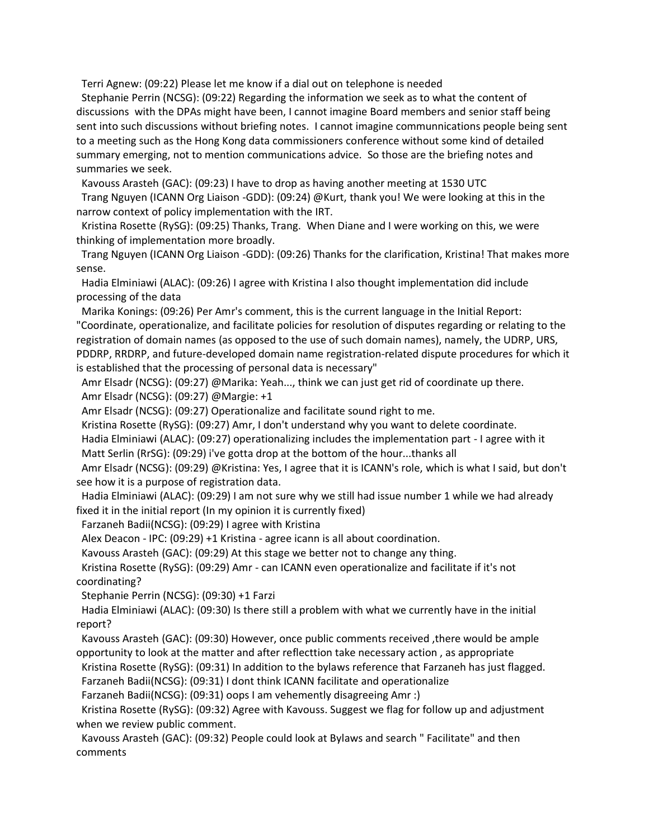Terri Agnew: (09:22) Please let me know if a dial out on telephone is needed

 Stephanie Perrin (NCSG): (09:22) Regarding the information we seek as to what the content of discussions with the DPAs might have been, I cannot imagine Board members and senior staff being sent into such discussions without briefing notes. I cannot imagine communnications people being sent to a meeting such as the Hong Kong data commissioners conference without some kind of detailed summary emerging, not to mention communications advice. So those are the briefing notes and summaries we seek.

Kavouss Arasteh (GAC): (09:23) I have to drop as having another meeting at 1530 UTC

 Trang Nguyen (ICANN Org Liaison -GDD): (09:24) @Kurt, thank you! We were looking at this in the narrow context of policy implementation with the IRT.

 Kristina Rosette (RySG): (09:25) Thanks, Trang. When Diane and I were working on this, we were thinking of implementation more broadly.

 Trang Nguyen (ICANN Org Liaison -GDD): (09:26) Thanks for the clarification, Kristina! That makes more sense.

 Hadia Elminiawi (ALAC): (09:26) I agree with Kristina I also thought implementation did include processing of the data

 Marika Konings: (09:26) Per Amr's comment, this is the current language in the Initial Report: "Coordinate, operationalize, and facilitate policies for resolution of disputes regarding or relating to the registration of domain names (as opposed to the use of such domain names), namely, the UDRP, URS, PDDRP, RRDRP, and future-developed domain name registration-related dispute procedures for which it is established that the processing of personal data is necessary"

 Amr Elsadr (NCSG): (09:27) @Marika: Yeah..., think we can just get rid of coordinate up there. Amr Elsadr (NCSG): (09:27) @Margie: +1

Amr Elsadr (NCSG): (09:27) Operationalize and facilitate sound right to me.

Kristina Rosette (RySG): (09:27) Amr, I don't understand why you want to delete coordinate.

 Hadia Elminiawi (ALAC): (09:27) operationalizing includes the implementation part - I agree with it Matt Serlin (RrSG): (09:29) i've gotta drop at the bottom of the hour...thanks all

 Amr Elsadr (NCSG): (09:29) @Kristina: Yes, I agree that it is ICANN's role, which is what I said, but don't see how it is a purpose of registration data.

 Hadia Elminiawi (ALAC): (09:29) I am not sure why we still had issue number 1 while we had already fixed it in the initial report (In my opinion it is currently fixed)

Farzaneh Badii(NCSG): (09:29) I agree with Kristina

Alex Deacon - IPC: (09:29) +1 Kristina - agree icann is all about coordination.

Kavouss Arasteh (GAC): (09:29) At this stage we better not to change any thing.

 Kristina Rosette (RySG): (09:29) Amr - can ICANN even operationalize and facilitate if it's not coordinating?

Stephanie Perrin (NCSG): (09:30) +1 Farzi

 Hadia Elminiawi (ALAC): (09:30) Is there still a problem with what we currently have in the initial report?

 Kavouss Arasteh (GAC): (09:30) However, once public comments received ,there would be ample opportunity to look at the matter and after reflecttion take necessary action , as appropriate

Kristina Rosette (RySG): (09:31) In addition to the bylaws reference that Farzaneh has just flagged.

Farzaneh Badii(NCSG): (09:31) I dont think ICANN facilitate and operationalize

Farzaneh Badii(NCSG): (09:31) oops I am vehemently disagreeing Amr :)

 Kristina Rosette (RySG): (09:32) Agree with Kavouss. Suggest we flag for follow up and adjustment when we review public comment.

 Kavouss Arasteh (GAC): (09:32) People could look at Bylaws and search " Facilitate" and then comments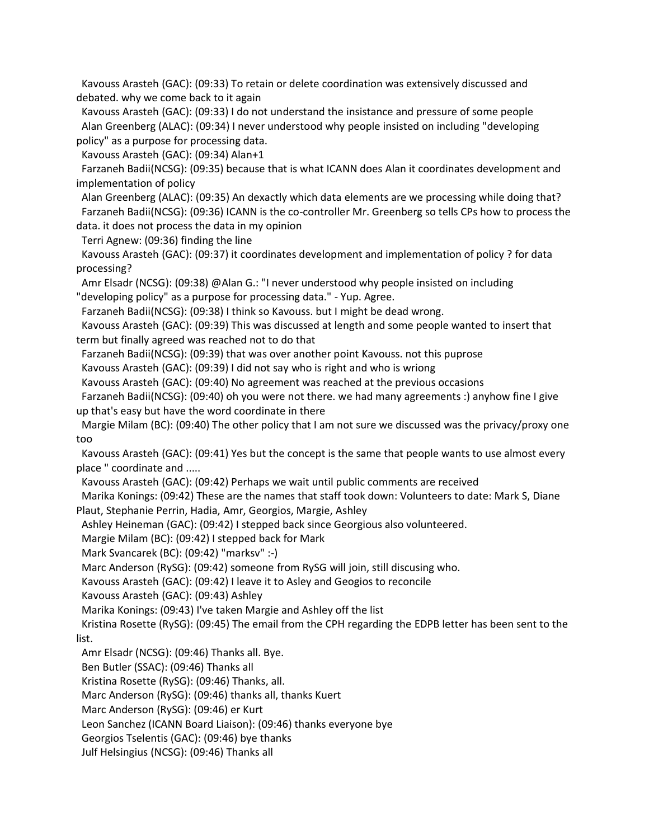Kavouss Arasteh (GAC): (09:33) To retain or delete coordination was extensively discussed and debated. why we come back to it again

 Kavouss Arasteh (GAC): (09:33) I do not understand the insistance and pressure of some people Alan Greenberg (ALAC): (09:34) I never understood why people insisted on including "developing policy" as a purpose for processing data.

Kavouss Arasteh (GAC): (09:34) Alan+1

 Farzaneh Badii(NCSG): (09:35) because that is what ICANN does Alan it coordinates development and implementation of policy

 Alan Greenberg (ALAC): (09:35) An dexactly which data elements are we processing while doing that? Farzaneh Badii(NCSG): (09:36) ICANN is the co-controller Mr. Greenberg so tells CPs how to process the data. it does not process the data in my opinion

Terri Agnew: (09:36) finding the line

 Kavouss Arasteh (GAC): (09:37) it coordinates development and implementation of policy ? for data processing?

 Amr Elsadr (NCSG): (09:38) @Alan G.: "I never understood why people insisted on including "developing policy" as a purpose for processing data." - Yup. Agree.

Farzaneh Badii(NCSG): (09:38) I think so Kavouss. but I might be dead wrong.

 Kavouss Arasteh (GAC): (09:39) This was discussed at length and some people wanted to insert that term but finally agreed was reached not to do that

Farzaneh Badii(NCSG): (09:39) that was over another point Kavouss. not this puprose

Kavouss Arasteh (GAC): (09:39) I did not say who is right and who is wriong

Kavouss Arasteh (GAC): (09:40) No agreement was reached at the previous occasions

 Farzaneh Badii(NCSG): (09:40) oh you were not there. we had many agreements :) anyhow fine I give up that's easy but have the word coordinate in there

 Margie Milam (BC): (09:40) The other policy that I am not sure we discussed was the privacy/proxy one too

 Kavouss Arasteh (GAC): (09:41) Yes but the concept is the same that people wants to use almost every place " coordinate and .....

Kavouss Arasteh (GAC): (09:42) Perhaps we wait until public comments are received

 Marika Konings: (09:42) These are the names that staff took down: Volunteers to date: Mark S, Diane Plaut, Stephanie Perrin, Hadia, Amr, Georgios, Margie, Ashley

Ashley Heineman (GAC): (09:42) I stepped back since Georgious also volunteered.

Margie Milam (BC): (09:42) I stepped back for Mark

Mark Svancarek (BC): (09:42) "marksv" :-)

Marc Anderson (RySG): (09:42) someone from RySG will join, still discusing who.

Kavouss Arasteh (GAC): (09:42) I leave it to Asley and Geogios to reconcile

Kavouss Arasteh (GAC): (09:43) Ashley

Marika Konings: (09:43) I've taken Margie and Ashley off the list

 Kristina Rosette (RySG): (09:45) The email from the CPH regarding the EDPB letter has been sent to the list.

Amr Elsadr (NCSG): (09:46) Thanks all. Bye.

Ben Butler (SSAC): (09:46) Thanks all

Kristina Rosette (RySG): (09:46) Thanks, all.

Marc Anderson (RySG): (09:46) thanks all, thanks Kuert

Marc Anderson (RySG): (09:46) er Kurt

Leon Sanchez (ICANN Board Liaison): (09:46) thanks everyone bye

Georgios Tselentis (GAC): (09:46) bye thanks

Julf Helsingius (NCSG): (09:46) Thanks all